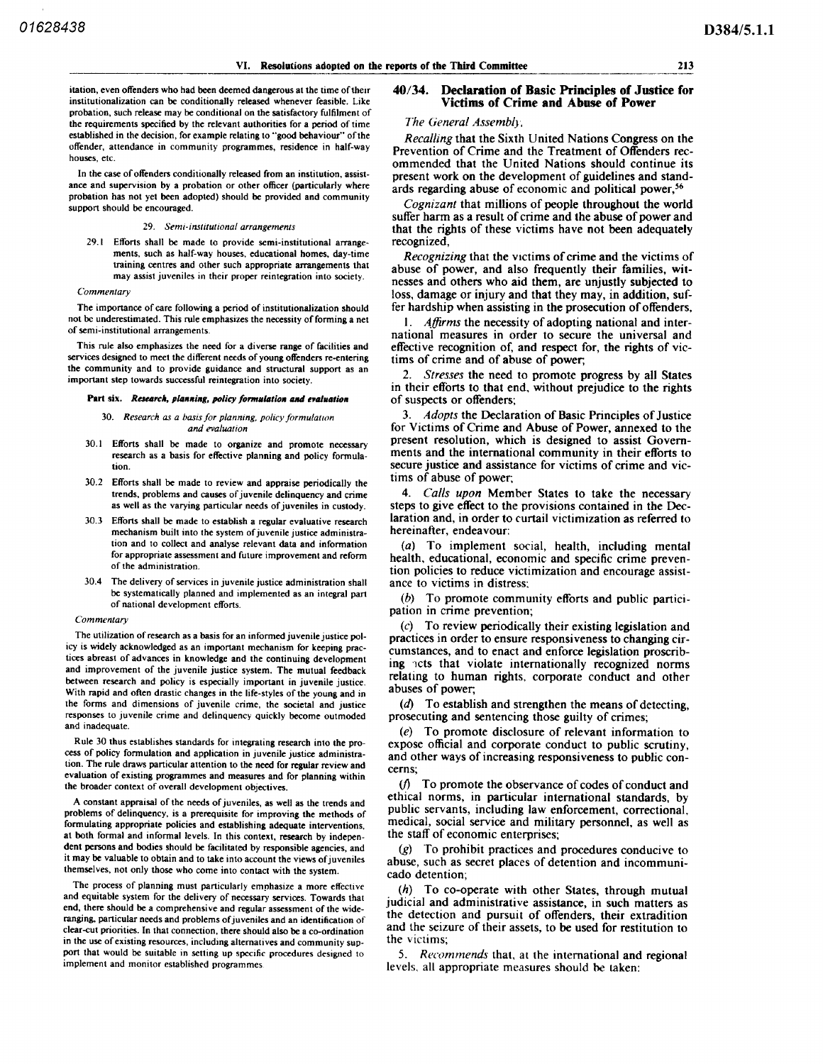D384/5.1.1

itation even offenders who had been deemed dangerous at the time of their institutionalization can be conditionally released whenever feasible. Like probation, such release may be conditional on the satisfactory fulfilment of the requirements specified by the relevant authorities for a period of time established in the decision, for example relating to "good behaviour" of the offender, attendance in community programmes, residence in half-way houses etc

In the case of offenders conditionally released from an institution, assistance and supervision by a probation or other officer (particularly where probation has not yet been adopted) should be provided and community support should be encouraged.

## 29. Semi-institutional arrangements

29.1 Efforts shall be made to provide semi-institutional arrangements. such as half-way houses, educational homes, day-time training centres and other such appropriate arrangements that may assist juveniles in their proper reintegration into society

## **Commentary**

The importance of care following a period of institutionalization should not be underestimated. This rule emphasizes the necessity of forming a net of semi-institutional arrangements.

This rule also emphasizes the need for a diverse range of facilities and services designed to meet the different needs of young offenders re entering the community and to provide guidance and structural support as an important step towards successful reintegration into society

## Part six. Research, planning, policy formulation and evaluation

30. Research as a basis for planning, policy formulation and evaluation

- 30 Efforts shall be made to organize and promote necessary research as basis for effective planning and policy formulation
- 30 Efforts shall be made to review and appraise periodically the trends, problems and causes of juvenile delinquency and crime as well as the varying particular needs of juveniles in custody.
- 30.3 Efforts shall be made to establish a regular evaluative research mechanism built into the system of juvenile justice administration and to collect and analyse relevant data and information for appropriate assessment and future improvement and reform of the administration
- 30 The delivery of services in juvenile justice administration shall be systematically planned and implemented as an integral part of national development efforts

### **Commentary**

The utilization of research as a basis for an informed juvenile justice policy is widely acknowledged as an important mechanism for keeping practices abreast of advances in knowledge and the continuing development and improvement of the juvenile justice system. The mutual feedback between research and policy is especially important in juvenile justice With rapid and often drastic changes in the life styles of the young and in the forms and dimensions of juvenile crime, the societal and justice responses to juvenile crime and delinquency quickly become outmoded and inadequate

Rule 30 thus establishes standards for integrating research into the process of policy formulation and application in juvenile justice administration. The rule draws particular attention to the need for regular review and evaluation of existing programmes and measures and for planning within the broader context of overall development objectives

A constant appraisal of the needs of juveniles, as well as the trends and problems of delinquency, is a prerequisite for improving the methods of formulating appropriate policies and establishing adequate interventions at both formal and informal levels. In this context, research by independent persons and bodies should be facilitated by responsible agencies, and it may be valuable to obtain and to take into account the views of juveniles themselves, not only those who come into contact with the system

The process of planning must particularly emphasize a more effective and equitable system for the delivery of necessary services. Towards that end, there should be a comprehensive and regular assessment of the wideranging, particular needs and problems of juveniles and an identification of clear-cut priorities. In that connection, there should also be a co-ordination in the use of existing resources, including alternatives and community support that would be suitable in setting up specific procedures designed to implement and monitor established programmes

# 40 34 Declaration of Basic Principles of Justice for Victims of Crime and Abuse of Power

# The General Assembly

Recalling that the Sixth United Nations Congress on the Prevention of Crime and the Treatment of Offenders recommended that the United Nations should continue its present work on the development of guidelines and standards regarding abuse of economic and political power 56

Cognizant that millions of people throughout the world suffer harm as a result of crime and the abuse of power and that the rights of these victims have not been adequately recognized

Recognizing that the victims of crime and the victims of abuse of power, and also frequently their families, witnesses and others who aid them, are unjustly subjected to loss, damage or injury and that they may, in addition, suffer hardship when assisting in the prosecution of offenders

Affirms the necessity of adopting national and international measures in order to secure the universal and effective recognition of, and respect for, the rights of victims of crime and of abuse of power

2. Stresses the need to promote progress by all States in their efforts to that end, without prejudice to the rights of suspects or offenders

3. Adopts the Declaration of Basic Principles of Justice for Victims of Crime and Abuse of Power, annexed to the present resolution, which is designed to assist Governments and the international community in their efforts to secure justice and assistance for victims of crime and victims of abuse of power

Calls upon Member States to take the necessary steps to give effect to the provisions contained in the Declaration and, in order to curtail victimization as referred to hereinafter, endeavour:

 $(a)$  To implement social, health, including mental health, educational, economic and specific crime prevention policies to reduce victimization and encourage assistance to victims in distress

 $(b)$  To promote community efforts and public participation in crime prevention

(c) To review periodically their existing legislation and practices in order to ensure responsiveness to changing circumstances, and to enact and enforce legislation proscribing icts that violate internationally recognized norms relating to human rights, corporate conduct and other abuses of power

To establish and strengthen the means of detecting (d). prosecuting and sentencing those guilty of crimes

To promote disclosure of relevant information to expose official and corporate conduct to public scrutiny and other ways of increasing responsiveness to public concerns

 $(f)$  To promote the observance of codes of conduct and ethical norms, in particular international standards, by public servants, including law enforcement, correctional. medical, social service and military personnel, as well as the staff of economic enterprises

 $(g)$  To prohibit practices and procedures conducive to abuse, such as secret places of detention and incommunicado detention

 $(h)$  To co-operate with other States, through mutual judicial and administrative assistance, in such matters as the detection and pursuit of offenders, their extradition and the seizure of their assets, to be used for restitution to the victims

5. Recommends that, at the international and regional levels, all appropriate measures should be taken: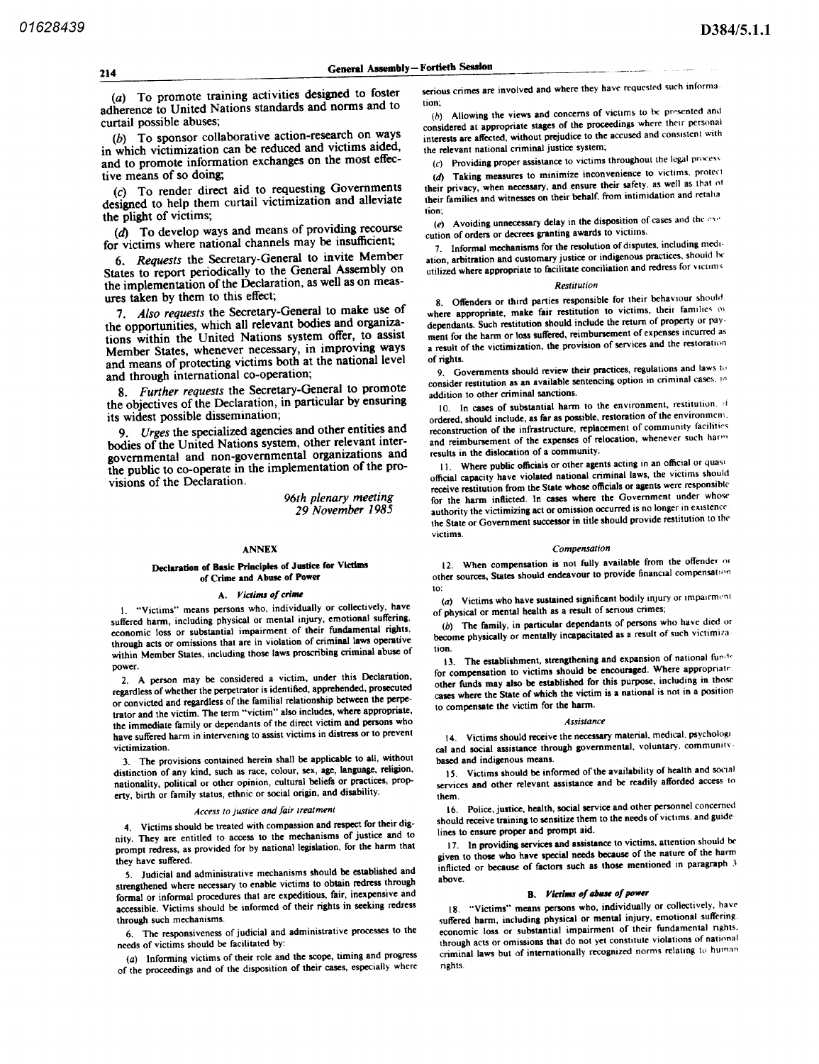214

(a) To promote training activities designed to foster adherence to United Nations standards and norms and to curtail possible abuses

To sponsor collaborative action research on ways in which victimization can be reduced and victims aided and to promote information exchanges on the most effective means of so doing

 $(c)$  To render direct aid to requesting Governments designed to help them curtail victimization and alleviate the plight of victims

(d) To develop ways and means of providing recourse for victims where national channels may be insufficient

6. Requests the Secretary-General to invite Member States to report periodically to the General Assembly on the implementation of the Declaration, as well as on measures taken by them to this effect

Also requests the Secretary-General to make use of the opportunities, which all relevant bodies and organizations within the United Nations system offer, to assist Member States, whenever necessary, in improving ways and means of protecting victims both at the national level and through international co-operation;

Further requests the Secretary-General to promote the objectives of the Declaration, in particular by ensuring its widest possible dissemination

Urges the specialized agencies and other entities and bodies of the United Nations system, other relevant intergovernmental and non governmental organizations and the public to co operate in the implementation of the provisions of the Declaration

> 96th plenary meeting 29 November 1985

## ANNEX

# Declaration of Basic Principles of Justice for Victims of Crime and Abuse of Power

## A. Victims of crime

"Victims" means persons who, individually or collectively, have suffered harm, including physical or mental injury, emotional suffering, economic loss or substantial impairment of their fundamental rights through acts or omissions that are in violation of criminal laws operative within Member States, including those laws proscribing criminal abuse of power

2. A person may be considered a victim, under this Declaration, regardless of whether the perpetrator is identified, apprehended, prosecuted or convicted and regardless of the familial relationship between the perpetrator and the victim. The term "victim" also includes, where appropriate, the immediate family or dependants of the direct victim and persons who have suffered harm in intervening to assist victims in distress or to prevent victimization

3. The provisions contained herein shall be applicable to all, without distinction of any kind, such as race, colour, sex, age, language, religion, nationality, political or other opinion, cultural beliefs or practices, property, birth or family status, ethnic or social origin, and disability.

# Access to justice and fair treatment

Victims should be treated with compassion and respect for their dignity. They are entitled to access to the mechanisms of justice and to prompt redress, as provided for by national legislation, for the harm that they have suffered

Judicial and administrative mechanisms should be established and strengthened where necessary to enable victims to obtain redress through formal or informal procedures that are expeditious, fair, inexpensive and accessible. Victims should be informed of their rights in seeking redress through such mechanisms

The responsiveness of judicial and administrative processes to the needs of victims should be facilitated by

 $(a)$  Informing victims of their role and the scope, timing and progress of the proceedings and of the disposition of their cases, especially where

serious crimes are involved and where they have requested such information.

Allowing the views and concerns of victims to be presented and considered at appropriate stages of the proceedings where their personal interests are affected, without prejudice to the accused and consistent with the relevant national criminal justice system

 $(c)$  Providing proper assistance to victims throughout the legal process

Taking measures to minimize inconvenience to victims, protect their privacy, when necessary, and ensure their safety, as well as that of their families and witnesses on their behalf, from intimidation and retalia tion

(e) Avoiding unnecessary delay in the disposition of cases and the exercution of orders or decrees granting awards to victims

7. Informal mechanisms for the resolution of disputes, including mediation, arbitration and customary justice or indigenous practices, should be utilized where appropriate to facilitate conciliation and redress for victims

### Restitution

8. Offenders or third parties responsible for their behaviour should. where appropriate, make fair restitution to victims, their families of  $\frac{1}{2}$ dependants. Such restitution should include the return of property or payment for the harm or loss suffered, reimbursement of expenses incurred as a result of the victimization, the provision of services and the restoration of rights

9. Governments should review their practices, regulations and laws to consider restitution as an available sentencing option in criminal cases addition to other criminal sanctions

10. In cases of substantial harm to the environment, restitution.  $\theta$ ordered, should include, as far as possible, restoration of the environment, reconstruction of the infrastructure, replacement of community facilities and reimbursement of the expenses of relocation, whenever such harm results in the dislocation of a community.

11. Where public officials or other agents acting in an official or quasiofficial capacity have violated national criminal laws, the victims should receive restitution from the State whose officials or agents were responsible for the harm inflicted. In cases where the Government under whose authority the victimizing act or omission occurred is no longer in existence. the State or Government successor in title should provide restitution to the victims

### Compensation

12. When compensation is not fully available from the offender or other sources, States should endeavour to provide financial compensation

to:<br>(*a*) Victims who have sustained significant bodily injury or impairment of physical or mental health as a result of serious crimes,

The family, in particular dependants of persons who have died or become physically or mentally incapacitated as a result of such victimization

13. The establishment, strengthening and expansion of national funds for compensation to victims should be encouraged. Where appropriate. other funds may also be established for this purpose, including in those cases where the State of which the victim is a national is not in a position to compensate the victim for the harm

#### Assistance

14. Victims should receive the necessary material, medical, psychologi cal and social assistance through governmental, voluntary, communitybased and indigenous means

15. Victims should be informed of the availability of health and social services and other relevant assistance and be readily afforded access to them

16. Police, justice, health, social service and other personnel concerned should receive training to sensitize them to the needs of victims and guide lines to ensure proper and prompt aid

17. In providing services and assistance to victims, attention should be given to those who have special needs because of the nature of the harm inflicted or because of factors such as those mentioned in paragraph 3 above

## B. Victims of abuse of power

18. "Victims" means persons who, individually or collectively, have suffered harm, including physical or mental injury, emotional suffering. economic loss or substantial impairment of their fundamental rights through acts or omissions that do not yet constitute violations of national criminal laws but of internationally recognized norms relating to human rights